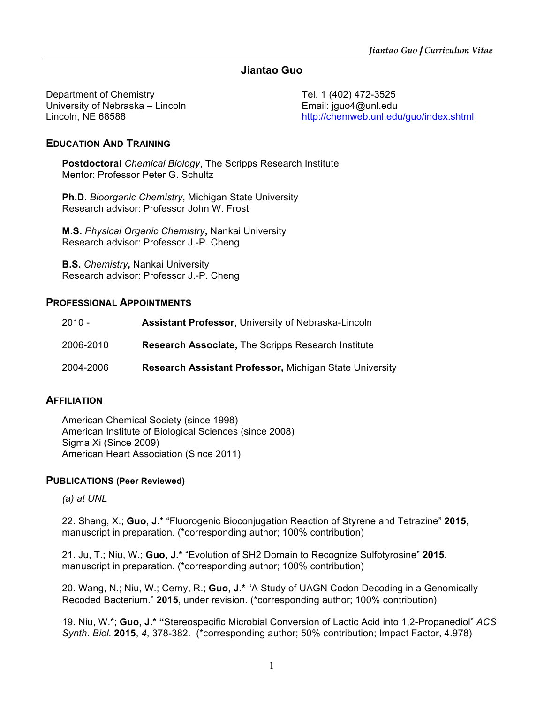## **Jiantao Guo**

Department of Chemistry Tel. 1 (402) 472-3525 University of Nebraska – Lincoln **Email:** jguo4@unl.edu

Lincoln, NE 68588 http://chemweb.unl.edu/guo/index.shtml

### **EDUCATION AND TRAINING**

**Postdoctoral** *Chemical Biology*, The Scripps Research Institute Mentor: Professor Peter G. Schultz

**Ph.D.** *Bioorganic Chemistry*, Michigan State University Research advisor: Professor John W. Frost

**M.S.** *Physical Organic Chemistry***,** Nankai University Research advisor: Professor J.-P. Cheng

**B.S.** *Chemistry***,** Nankai University Research advisor: Professor J.-P. Cheng

#### **PROFESSIONAL APPOINTMENTS**

| $2010 -$  | <b>Assistant Professor, University of Nebraska-Lincoln</b>     |
|-----------|----------------------------------------------------------------|
| 2006-2010 | <b>Research Associate, The Scripps Research Institute</b>      |
| 2004-2006 | <b>Research Assistant Professor, Michigan State University</b> |

#### **AFFILIATION**

American Chemical Society (since 1998) American Institute of Biological Sciences (since 2008) Sigma Xi (Since 2009) American Heart Association (Since 2011)

#### **PUBLICATIONS (Peer Reviewed)**

#### *(a) at UNL*

22. Shang, X.; **Guo, J.\*** "Fluorogenic Bioconjugation Reaction of Styrene and Tetrazine" **2015**, manuscript in preparation. (\*corresponding author; 100% contribution)

21. Ju, T.; Niu, W.; **Guo, J.\*** "Evolution of SH2 Domain to Recognize Sulfotyrosine" **2015**, manuscript in preparation. (\*corresponding author; 100% contribution)

20. Wang, N.; Niu, W.; Cerny, R.; **Guo, J.\*** "A Study of UAGN Codon Decoding in a Genomically Recoded Bacterium." **2015**, under revision. (\*corresponding author; 100% contribution)

19. Niu, W.\*; **Guo, J.\* "**Stereospecific Microbial Conversion of Lactic Acid into 1,2-Propanediol" *ACS Synth. Biol.* **2015**, *4*, 378-382. (\*corresponding author; 50% contribution; Impact Factor, 4.978)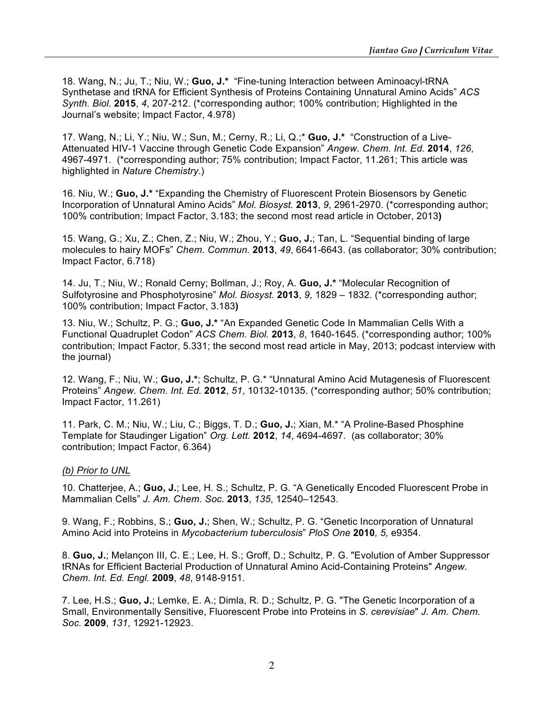18. Wang, N.; Ju, T.; Niu, W.; **Guo, J.\*** "Fine-tuning Interaction between Aminoacyl-tRNA Synthetase and tRNA for Efficient Synthesis of Proteins Containing Unnatural Amino Acids" *ACS Synth. Biol.* **2015**, *4*, 207-212. (\*corresponding author; 100% contribution; Highlighted in the Journal's website; Impact Factor, 4.978)

17. Wang, N.; Li, Y.; Niu, W.; Sun, M.; Cerny, R.; Li, Q.;\* **Guo, J.\*** "Construction of a Live-Attenuated HIV-1 Vaccine through Genetic Code Expansion" *Angew. Chem. Int. Ed.* **2014**, *126*, 4967-4971. (\*corresponding author; 75% contribution; Impact Factor, 11.261; This article was highlighted in *Nature Chemistry*.)

16. Niu, W.; **Guo, J.\*** "Expanding the Chemistry of Fluorescent Protein Biosensors by Genetic Incorporation of Unnatural Amino Acids" *Mol. Biosyst.* **2013**, *9*, 2961-2970. (\*corresponding author; 100% contribution; Impact Factor, 3.183; the second most read article in October, 2013**)**

15. Wang, G.; Xu, Z.; Chen, Z.; Niu, W.; Zhou, Y.; **Guo, J.**; Tan, L. "Sequential binding of large molecules to hairy MOFs" *Chem. Commun.* **2013**, *49*, 6641-6643. (as collaborator; 30% contribution; Impact Factor, 6.718)

14. Ju, T.; Niu, W.; Ronald Cerny; Bollman, J.; Roy, A. **Guo, J.\*** "Molecular Recognition of Sulfotyrosine and Phosphotyrosine" *Mol. Biosyst.* **2013**, *9*, 1829 – 1832. (\*corresponding author; 100% contribution; Impact Factor, 3.183**)**

13. Niu, W.; Schultz, P. G.; **Guo, J.\*** "An Expanded Genetic Code In Mammalian Cells With a Functional Quadruplet Codon" *ACS Chem. Biol.* **2013**, *8*, 1640-1645. (\*corresponding author; 100% contribution; Impact Factor, 5.331; the second most read article in May, 2013; podcast interview with the journal)

12. Wang, F.; Niu, W.; **Guo, J.\***; Schultz, P. G.\* "Unnatural Amino Acid Mutagenesis of Fluorescent Proteins" *Angew. Chem. Int. Ed.* **2012**, *51*, 10132-10135. (\*corresponding author; 50% contribution; Impact Factor, 11.261)

11. Park, C. M.; Niu, W.; Liu, C.; Biggs, T. D.; **Guo, J.**; Xian, M.\* "A Proline-Based Phosphine Template for Staudinger Ligation" *Org. Lett.* **2012**, *14*, 4694-4697. (as collaborator; 30% contribution; Impact Factor, 6.364)

#### *(b) Prior to UNL*

10. Chatterjee, A.; **Guo, J.**; Lee, H. S.; Schultz, P. G. "A Genetically Encoded Fluorescent Probe in Mammalian Cells" *J. Am. Chem. Soc.* **2013**, *135*, 12540–12543.

9. Wang, F.; Robbins, S.; **Guo, J.**; Shen, W.; Schultz, P. G. "Genetic Incorporation of Unnatural Amino Acid into Proteins in *Mycobacterium tuberculosis*" *PloS One* **2010***, 5,* e9354.

8. **Guo, J.**; Melançon III, C. E.; Lee, H. S.; Groff, D.; Schultz, P. G. "Evolution of Amber Suppressor tRNAs for Efficient Bacterial Production of Unnatural Amino Acid-Containing Proteins" *Angew. Chem. Int. Ed. Engl.* **2009**, *48*, 9148-9151.

7. Lee, H.S.; **Guo, J.**; Lemke, E. A.; Dimla, R. D.; Schultz, P. G. "The Genetic Incorporation of a Small, Environmentally Sensitive, Fluorescent Probe into Proteins in *S. cerevisiae*" *J. Am. Chem. Soc.* **2009**, *131*, 12921-12923.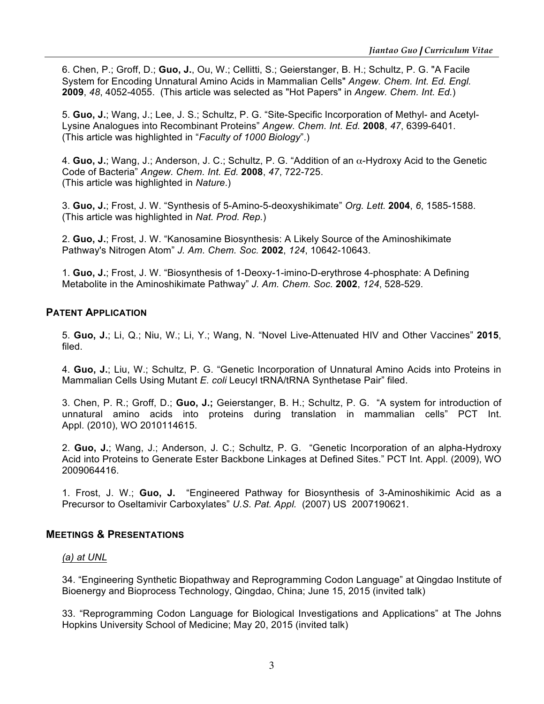6. Chen, P.; Groff, D.; **Guo, J.**, Ou, W.; Cellitti, S.; Geierstanger, B. H.; Schultz, P. G. "A Facile System for Encoding Unnatural Amino Acids in Mammalian Cells" *Angew. Chem. Int. Ed. Engl.* **2009**, *48*, 4052-4055. (This article was selected as "Hot Papers" in *Angew. Chem. Int. Ed.*)

5. **Guo, J.**; Wang, J.; Lee, J. S.; Schultz, P. G. "Site-Specific Incorporation of Methyl- and Acetyl-Lysine Analogues into Recombinant Proteins" *Angew. Chem. Int. Ed.* **2008**, *47*, 6399-6401. (This article was highlighted in "*Faculty of 1000 Biology*".)

4. **Guo, J.**; Wang, J.; Anderson, J. C.; Schultz, P. G. "Addition of an α-Hydroxy Acid to the Genetic Code of Bacteria" *Angew. Chem. Int. Ed.* **2008**, *47*, 722-725. (This article was highlighted in *Nature*.)

3. **Guo, J.**; Frost, J. W. "Synthesis of 5-Amino-5-deoxyshikimate" *Org. Lett.* **2004**, *6*, 1585-1588. (This article was highlighted in *Nat. Prod. Rep.*)

2. **Guo, J.**; Frost, J. W. "Kanosamine Biosynthesis: A Likely Source of the Aminoshikimate Pathway's Nitrogen Atom" *J. Am. Chem. Soc.* **2002**, *124*, 10642-10643.

1. **Guo, J.**; Frost, J. W. "Biosynthesis of 1-Deoxy-1-imino-D-erythrose 4-phosphate: A Defining Metabolite in the Aminoshikimate Pathway" *J. Am. Chem. Soc.* **2002**, *124*, 528-529.

#### **PATENT APPLICATION**

5. **Guo, J.**; Li, Q.; Niu, W.; Li, Y.; Wang, N. "Novel Live-Attenuated HIV and Other Vaccines" **2015**, filed.

4. **Guo, J.**; Liu, W.; Schultz, P. G. "Genetic Incorporation of Unnatural Amino Acids into Proteins in Mammalian Cells Using Mutant *E. coli* Leucyl tRNA/tRNA Synthetase Pair" filed.

3. Chen, P. R.; Groff, D.; **Guo, J.;** Geierstanger, B. H.; Schultz, P. G. "A system for introduction of unnatural amino acids into proteins during translation in mammalian cells" PCT Int. Appl. (2010), WO 2010114615.

2. **Guo, J.**; Wang, J.; Anderson, J. C.; Schultz, P. G. "Genetic Incorporation of an alpha-Hydroxy Acid into Proteins to Generate Ester Backbone Linkages at Defined Sites." PCT Int. Appl. (2009), WO 2009064416.

1. Frost, J. W.; **Guo, J.** "Engineered Pathway for Biosynthesis of 3-Aminoshikimic Acid as a Precursor to Oseltamivir Carboxylates" *U.S. Pat. Appl.* (2007) US 2007190621.

## **MEETINGS & PRESENTATIONS**

#### *(a) at UNL*

34. "Engineering Synthetic Biopathway and Reprogramming Codon Language" at Qingdao Institute of Bioenergy and Bioprocess Technology, Qingdao, China; June 15, 2015 (invited talk)

33. "Reprogramming Codon Language for Biological Investigations and Applications" at The Johns Hopkins University School of Medicine; May 20, 2015 (invited talk)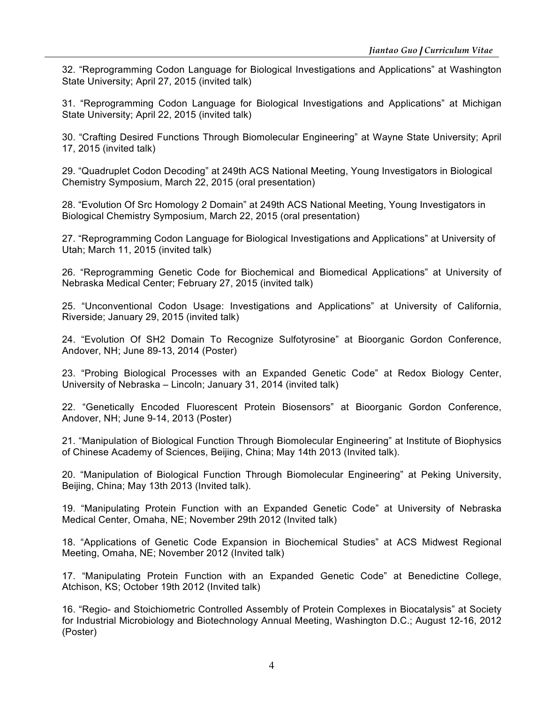32. "Reprogramming Codon Language for Biological Investigations and Applications" at Washington State University; April 27, 2015 (invited talk)

31. "Reprogramming Codon Language for Biological Investigations and Applications" at Michigan State University; April 22, 2015 (invited talk)

30. "Crafting Desired Functions Through Biomolecular Engineering" at Wayne State University; April 17, 2015 (invited talk)

29. "Quadruplet Codon Decoding" at 249th ACS National Meeting, Young Investigators in Biological Chemistry Symposium, March 22, 2015 (oral presentation)

28. "Evolution Of Src Homology 2 Domain" at 249th ACS National Meeting, Young Investigators in Biological Chemistry Symposium, March 22, 2015 (oral presentation)

27. "Reprogramming Codon Language for Biological Investigations and Applications" at University of Utah; March 11, 2015 (invited talk)

26. "Reprogramming Genetic Code for Biochemical and Biomedical Applications" at University of Nebraska Medical Center; February 27, 2015 (invited talk)

25. "Unconventional Codon Usage: Investigations and Applications" at University of California, Riverside; January 29, 2015 (invited talk)

24. "Evolution Of SH2 Domain To Recognize Sulfotyrosine" at Bioorganic Gordon Conference, Andover, NH; June 89-13, 2014 (Poster)

23. "Probing Biological Processes with an Expanded Genetic Code" at Redox Biology Center, University of Nebraska – Lincoln; January 31, 2014 (invited talk)

22. "Genetically Encoded Fluorescent Protein Biosensors" at Bioorganic Gordon Conference, Andover, NH; June 9-14, 2013 (Poster)

21. "Manipulation of Biological Function Through Biomolecular Engineering" at Institute of Biophysics of Chinese Academy of Sciences, Beijing, China; May 14th 2013 (Invited talk).

20. "Manipulation of Biological Function Through Biomolecular Engineering" at Peking University, Beijing, China; May 13th 2013 (Invited talk).

19. "Manipulating Protein Function with an Expanded Genetic Code" at University of Nebraska Medical Center, Omaha, NE; November 29th 2012 (Invited talk)

18. "Applications of Genetic Code Expansion in Biochemical Studies" at ACS Midwest Regional Meeting, Omaha, NE; November 2012 (Invited talk)

17. "Manipulating Protein Function with an Expanded Genetic Code" at Benedictine College, Atchison, KS; October 19th 2012 (Invited talk)

16. "Regio- and Stoichiometric Controlled Assembly of Protein Complexes in Biocatalysis" at Society for Industrial Microbiology and Biotechnology Annual Meeting, Washington D.C.; August 12-16, 2012 (Poster)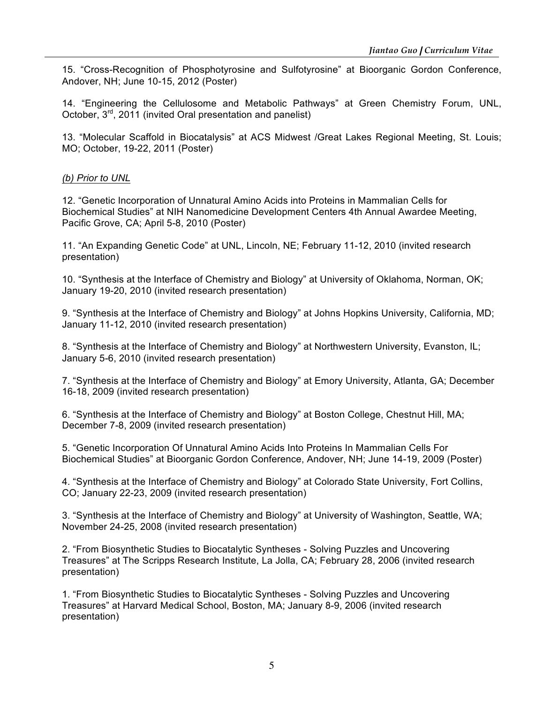15. "Cross-Recognition of Phosphotyrosine and Sulfotyrosine" at Bioorganic Gordon Conference, Andover, NH; June 10-15, 2012 (Poster)

14. "Engineering the Cellulosome and Metabolic Pathways" at Green Chemistry Forum, UNL, October,  $3^{rd}$ , 2011 (invited Oral presentation and panelist)

13. "Molecular Scaffold in Biocatalysis" at ACS Midwest /Great Lakes Regional Meeting, St. Louis; MO; October, 19-22, 2011 (Poster)

#### *(b) Prior to UNL*

12. "Genetic Incorporation of Unnatural Amino Acids into Proteins in Mammalian Cells for Biochemical Studies" at NIH Nanomedicine Development Centers 4th Annual Awardee Meeting, Pacific Grove, CA; April 5-8, 2010 (Poster)

11. "An Expanding Genetic Code" at UNL, Lincoln, NE; February 11-12, 2010 (invited research presentation)

10. "Synthesis at the Interface of Chemistry and Biology" at University of Oklahoma, Norman, OK; January 19-20, 2010 (invited research presentation)

9. "Synthesis at the Interface of Chemistry and Biology" at Johns Hopkins University, California, MD; January 11-12, 2010 (invited research presentation)

8. "Synthesis at the Interface of Chemistry and Biology" at Northwestern University, Evanston, IL; January 5-6, 2010 (invited research presentation)

7. "Synthesis at the Interface of Chemistry and Biology" at Emory University, Atlanta, GA; December 16-18, 2009 (invited research presentation)

6. "Synthesis at the Interface of Chemistry and Biology" at Boston College, Chestnut Hill, MA; December 7-8, 2009 (invited research presentation)

5. "Genetic Incorporation Of Unnatural Amino Acids Into Proteins In Mammalian Cells For Biochemical Studies" at Bioorganic Gordon Conference, Andover, NH; June 14-19, 2009 (Poster)

4. "Synthesis at the Interface of Chemistry and Biology" at Colorado State University, Fort Collins, CO; January 22-23, 2009 (invited research presentation)

3. "Synthesis at the Interface of Chemistry and Biology" at University of Washington, Seattle, WA; November 24-25, 2008 (invited research presentation)

2. "From Biosynthetic Studies to Biocatalytic Syntheses - Solving Puzzles and Uncovering Treasures" at The Scripps Research Institute, La Jolla, CA; February 28, 2006 (invited research presentation)

1. "From Biosynthetic Studies to Biocatalytic Syntheses - Solving Puzzles and Uncovering Treasures" at Harvard Medical School, Boston, MA; January 8-9, 2006 (invited research presentation)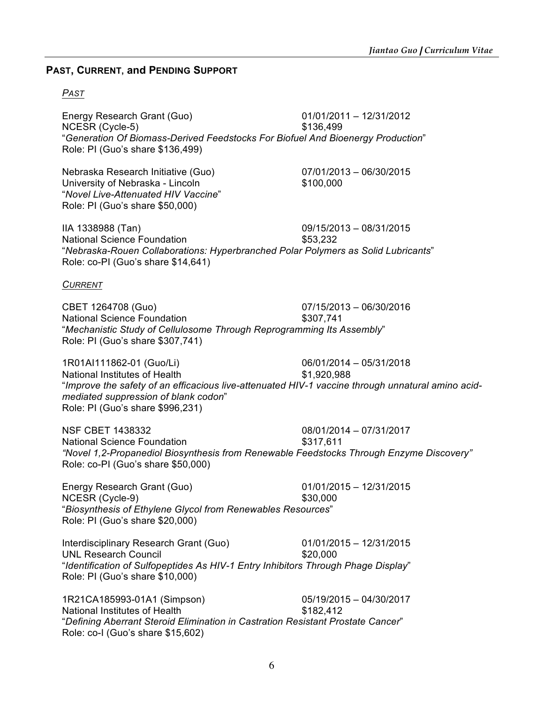## **PAST, CURRENT, and PENDING SUPPORT**

## *PAST*

Energy Research Grant (Guo) 01/01/2011 – 12/31/2012 NCESR (Cycle-5) \$136,499 "*Generation Of Biomass-Derived Feedstocks For Biofuel And Bioenergy Production*" Role: PI (Guo's share \$136,499)

Nebraska Research Initiative (Guo) 07/01/2013 – 06/30/2015 University of Nebraska - Lincoln \$100,000 "*Novel Live-Attenuated HIV Vaccine*" Role: PI (Guo's share \$50,000)

IIA 1338988 (Tan) 09/15/2013 – 08/31/2015 National Science Foundation  $$53,232$ "*Nebraska-Rouen Collaborations: Hyperbranched Polar Polymers as Solid Lubricants*" Role: co-PI (Guo's share \$14,641)

*CURRENT*

CBET 1264708 (Guo) 07/15/2013 – 06/30/2016 National Science Foundation  $$307,741$ "*Mechanistic Study of Cellulosome Through Reprogramming Its Assembly*" Role: PI (Guo's share \$307,741)

1R01AI111862-01 (Guo/Li) 06/01/2014 – 05/31/2018 National Institutes of Health  $$1,920,988$ "*Improve the safety of an efficacious live-attenuated HIV-1 vaccine through unnatural amino acidmediated suppression of blank codon*" Role: PI (Guo's share \$996,231)

NSF CBET 1438332 08/01/2014 – 07/31/2017 National Science Foundation **\$317,611** *"Novel 1,2-Propanediol Biosynthesis from Renewable Feedstocks Through Enzyme Discovery"* Role: co-PI (Guo's share \$50,000)

Energy Research Grant (Guo) 01/01/2015 – 12/31/2015 NCESR (Cycle-9) \$30,000 "*Biosynthesis of Ethylene Glycol from Renewables Resources*" Role: PI (Guo's share \$20,000)

Interdisciplinary Research Grant (Guo) 01/01/2015 – 12/31/2015 UNL Research Council **\$20,000** "*Identification of Sulfopeptides As HIV-1 Entry Inhibitors Through Phage Display*" Role: PI (Guo's share \$10,000)

1R21CA185993-01A1 (Simpson) 05/19/2015 – 04/30/2017 National Institutes of Health  $$182,412$ "*Defining Aberrant Steroid Elimination in Castration Resistant Prostate Cancer*" Role: co-I (Guo's share \$15,602)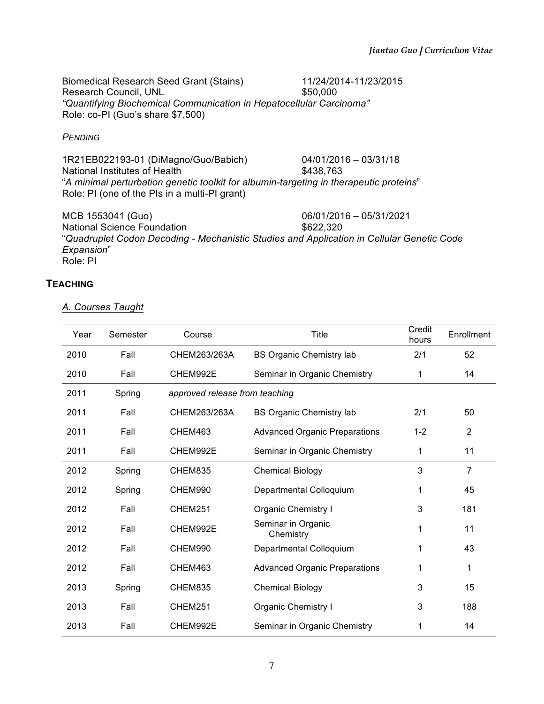Biomedical Research Seed Grant (Stains) 11/24/2014-11/23/2015 Research Council, UNL \$50,000 *"Quantifying Biochemical Communication in Hepatocellular Carcinoma"* Role: co-PI (Guo's share \$7,500)

#### *PENDING*

1R21EB022193-01 (DiMagno/Guo/Babich) 04/01/2016 – 03/31/18 National Institutes of Health  $$438,763$ "*A minimal perturbation genetic toolkit for albumin-targeting in therapeutic proteins*" Role: PI (one of the PIs in a multi-PI grant)

MCB 1553041 (Guo) 06/01/2016 – 05/31/2021 National Science Foundation **\$622,320** "*Quadruplet Codon Decoding - Mechanistic Studies and Application in Cellular Genetic Code Expansion*" Role: PI

## **TEACHING**

#### *A. Courses Taught*

| Year | Semester | Course                         | <b>Title</b>                         | Credit<br>hours | Enrollment     |
|------|----------|--------------------------------|--------------------------------------|-----------------|----------------|
| 2010 | Fall     | CHEM263/263A                   | <b>BS Organic Chemistry lab</b>      | 2/1             | 52             |
| 2010 | Fall     | CHEM992E                       | Seminar in Organic Chemistry         | 1               | 14             |
| 2011 | Spring   | approved release from teaching |                                      |                 |                |
| 2011 | Fall     | CHEM263/263A                   | <b>BS Organic Chemistry lab</b>      | 2/1             | 50             |
| 2011 | Fall     | CHEM463                        | <b>Advanced Organic Preparations</b> | $1 - 2$         | $\overline{2}$ |
| 2011 | Fall     | CHEM992E                       | Seminar in Organic Chemistry         | 1               | 11             |
| 2012 | Spring   | CHEM835                        | <b>Chemical Biology</b>              | 3               | $\overline{7}$ |
| 2012 | Spring   | CHEM990                        | Departmental Colloquium              | 1               | 45             |
| 2012 | Fall     | CHEM251                        | Organic Chemistry I                  | 3               | 181            |
| 2012 | Fall     | CHEM992E                       | Seminar in Organic<br>Chemistry      | 1               | 11             |
| 2012 | Fall     | CHEM990                        | Departmental Colloquium              | 1               | 43             |
| 2012 | Fall     | CHEM463                        | <b>Advanced Organic Preparations</b> | 1               | 1              |
| 2013 | Spring   | CHEM835                        | <b>Chemical Biology</b>              | 3               | 15             |
| 2013 | Fall     | CHEM251                        | Organic Chemistry I                  | 3               | 188            |
| 2013 | Fall     | CHEM992E                       | Seminar in Organic Chemistry         | 1               | 14             |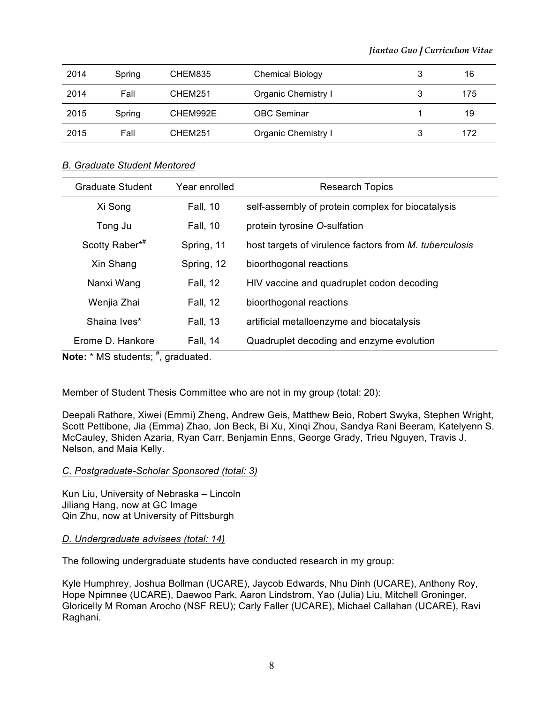| 2014 | Spring | CHEM835  | <b>Chemical Biology</b>    | 3 | 16  |
|------|--------|----------|----------------------------|---|-----|
| 2014 | Fall   | CHEM251  | Organic Chemistry I        | 3 | 175 |
| 2015 | Spring | CHEM992E | <b>OBC</b> Seminar         |   | 19  |
| 2015 | Fall   | CHEM251  | <b>Organic Chemistry I</b> | 3 | 172 |

#### *B. Graduate Student Mentored*

| Graduate Student | Year enrolled   | <b>Research Topics</b>                                        |
|------------------|-----------------|---------------------------------------------------------------|
| Xi Song          | <b>Fall, 10</b> | self-assembly of protein complex for biocatalysis             |
| Tong Ju          | <b>Fall, 10</b> | protein tyrosine O-sulfation                                  |
| Scotty Raber*#   | Spring, 11      | host targets of virulence factors from <i>M. tuberculosis</i> |
| Xin Shang        | Spring, 12      | bioorthogonal reactions                                       |
| Nanxi Wang       | <b>Fall, 12</b> | HIV vaccine and quadruplet codon decoding                     |
| Wenjia Zhai      | <b>Fall, 12</b> | bioorthogonal reactions                                       |
| Shaina Ives*     | <b>Fall, 13</b> | artificial metalloenzyme and biocatalysis                     |
| Erome D. Hankore | <b>Fall, 14</b> | Quadruplet decoding and enzyme evolution                      |

Note: \* MS students; #, graduated.

Member of Student Thesis Committee who are not in my group (total: 20):

Deepali Rathore, Xiwei (Emmi) Zheng, Andrew Geis, Matthew Beio, Robert Swyka, Stephen Wright, Scott Pettibone, Jia (Emma) Zhao, Jon Beck, Bi Xu, Xinqi Zhou, Sandya Rani Beeram, Katelyenn S. McCauley, Shiden Azaria, Ryan Carr, Benjamin Enns, George Grady, Trieu Nguyen, Travis J. Nelson, and Maia Kelly.

## *C. Postgraduate-Scholar Sponsored (total: 3)*

Kun Liu, University of Nebraska – Lincoln Jiliang Hang, now at GC Image Qin Zhu, now at University of Pittsburgh

## *D. Undergraduate advisees (total: 14)*

The following undergraduate students have conducted research in my group:

Kyle Humphrey, Joshua Bollman (UCARE), Jaycob Edwards, Nhu Dinh (UCARE), Anthony Roy, Hope Npimnee (UCARE), Daewoo Park, Aaron Lindstrom, Yao (Julia) Liu, Mitchell Groninger, Gloricelly M Roman Arocho (NSF REU); Carly Faller (UCARE), Michael Callahan (UCARE), Ravi Raghani.